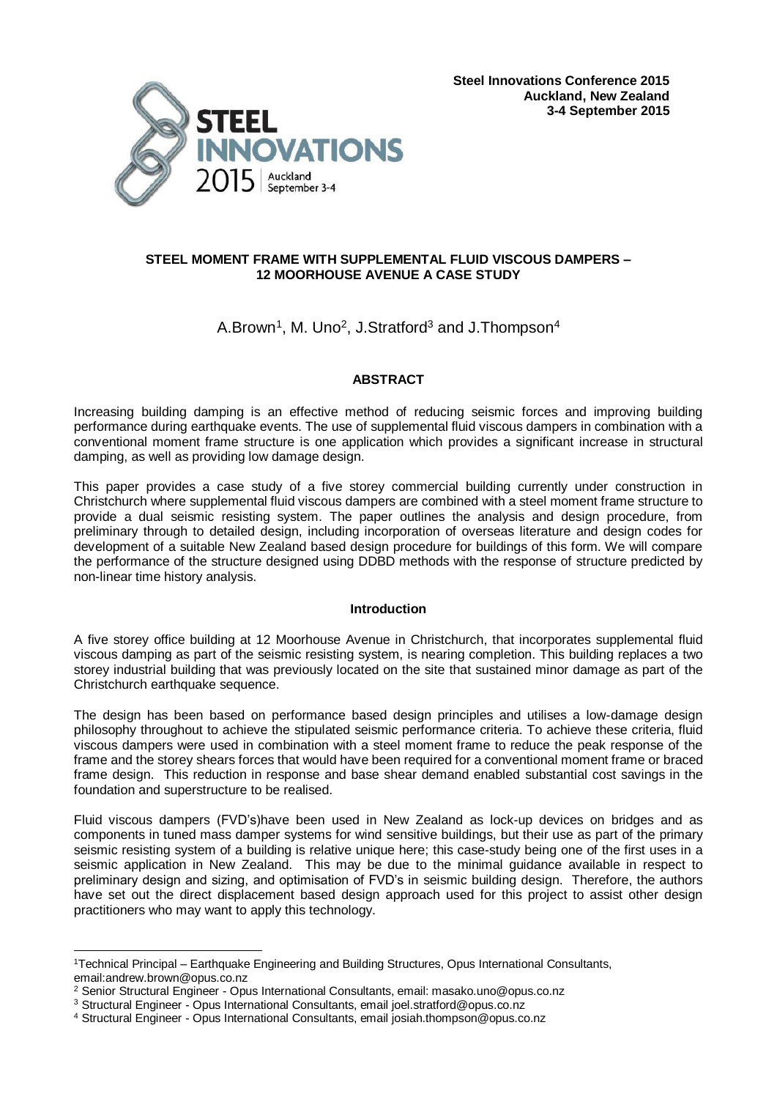



## **STEEL MOMENT FRAME WITH SUPPLEMENTAL FLUID VISCOUS DAMPERS – 12 MOORHOUSE AVENUE A CASE STUDY**

# A.Brown<sup>1</sup>, M. Uno<sup>2</sup>, J.Stratford<sup>3</sup> and J.Thompson<sup>4</sup>

## **ABSTRACT**

Increasing building damping is an effective method of reducing seismic forces and improving building performance during earthquake events. The use of supplemental fluid viscous dampers in combination with a conventional moment frame structure is one application which provides a significant increase in structural damping, as well as providing low damage design.

This paper provides a case study of a five storey commercial building currently under construction in Christchurch where supplemental fluid viscous dampers are combined with a steel moment frame structure to provide a dual seismic resisting system. The paper outlines the analysis and design procedure, from preliminary through to detailed design, including incorporation of overseas literature and design codes for development of a suitable New Zealand based design procedure for buildings of this form. We will compare the performance of the structure designed using DDBD methods with the response of structure predicted by non-linear time history analysis.

## **Introduction**

A five storey office building at 12 Moorhouse Avenue in Christchurch, that incorporates supplemental fluid viscous damping as part of the seismic resisting system, is nearing completion. This building replaces a two storey industrial building that was previously located on the site that sustained minor damage as part of the Christchurch earthquake sequence.

The design has been based on performance based design principles and utilises a low-damage design philosophy throughout to achieve the stipulated seismic performance criteria. To achieve these criteria, fluid viscous dampers were used in combination with a steel moment frame to reduce the peak response of the frame and the storey shears forces that would have been required for a conventional moment frame or braced frame design. This reduction in response and base shear demand enabled substantial cost savings in the foundation and superstructure to be realised.

Fluid viscous dampers (FVD's)have been used in New Zealand as lock-up devices on bridges and as components in tuned mass damper systems for wind sensitive buildings, but their use as part of the primary seismic resisting system of a building is relative unique here; this case-study being one of the first uses in a seismic application in New Zealand. This may be due to the minimal guidance available in respect to preliminary design and sizing, and optimisation of FVD's in seismic building design. Therefore, the authors have set out the direct displacement based design approach used for this project to assist other design practitioners who may want to apply this technology.

<sup>&</sup>lt;u>.</u> <sup>1</sup>Technical Principal – Earthquake Engineering and Building Structures, Opus International Consultants, email:andrew.brown@opus.co.nz

<sup>2</sup> Senior Structural Engineer - Opus International Consultants, email: masako.uno@opus.co.nz

<sup>3</sup> Structural Engineer - Opus International Consultants, email joel.stratford@opus.co.nz

<sup>4</sup> Structural Engineer - Opus International Consultants, email josiah.thompson@opus.co.nz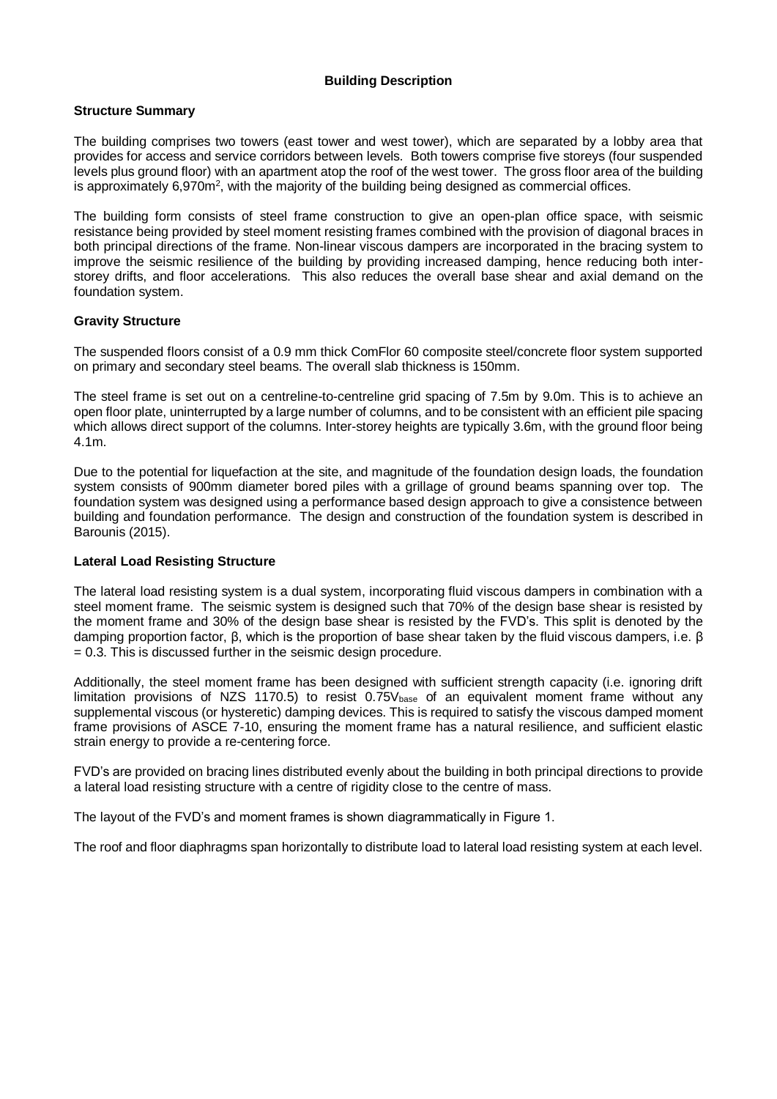## **Building Description**

### **Structure Summary**

The building comprises two towers (east tower and west tower), which are separated by a lobby area that provides for access and service corridors between levels. Both towers comprise five storeys (four suspended levels plus ground floor) with an apartment atop the roof of the west tower. The gross floor area of the building is approximately 6,970 $m^2$ , with the majority of the building being designed as commercial offices.

The building form consists of steel frame construction to give an open-plan office space, with seismic resistance being provided by steel moment resisting frames combined with the provision of diagonal braces in both principal directions of the frame. Non-linear viscous dampers are incorporated in the bracing system to improve the seismic resilience of the building by providing increased damping, hence reducing both interstorey drifts, and floor accelerations. This also reduces the overall base shear and axial demand on the foundation system.

### **Gravity Structure**

The suspended floors consist of a 0.9 mm thick ComFlor 60 composite steel/concrete floor system supported on primary and secondary steel beams. The overall slab thickness is 150mm.

The steel frame is set out on a centreline-to-centreline grid spacing of 7.5m by 9.0m. This is to achieve an open floor plate, uninterrupted by a large number of columns, and to be consistent with an efficient pile spacing which allows direct support of the columns. Inter-storey heights are typically 3.6m, with the ground floor being 4.1m.

Due to the potential for liquefaction at the site, and magnitude of the foundation design loads, the foundation system consists of 900mm diameter bored piles with a grillage of ground beams spanning over top. The foundation system was designed using a performance based design approach to give a consistence between building and foundation performance. The design and construction of the foundation system is described in Barounis (2015).

### **Lateral Load Resisting Structure**

The lateral load resisting system is a dual system, incorporating fluid viscous dampers in combination with a steel moment frame. The seismic system is designed such that 70% of the design base shear is resisted by the moment frame and 30% of the design base shear is resisted by the FVD's. This split is denoted by the damping proportion factor, β, which is the proportion of base shear taken by the fluid viscous dampers, i.e. β  $= 0.3$ . This is discussed further in the seismic design procedure.

Additionally, the steel moment frame has been designed with sufficient strength capacity (i.e. ignoring drift limitation provisions of NZS 1170.5) to resist 0.75V<sub>base</sub> of an equivalent moment frame without any supplemental viscous (or hysteretic) damping devices. This is required to satisfy the viscous damped moment frame provisions of ASCE 7-10, ensuring the moment frame has a natural resilience, and sufficient elastic strain energy to provide a re-centering force.

FVD's are provided on bracing lines distributed evenly about the building in both principal directions to provide a lateral load resisting structure with a centre of rigidity close to the centre of mass.

The layout of the FVD's and moment frames is shown diagrammatically in Figure 1.

The roof and floor diaphragms span horizontally to distribute load to lateral load resisting system at each level.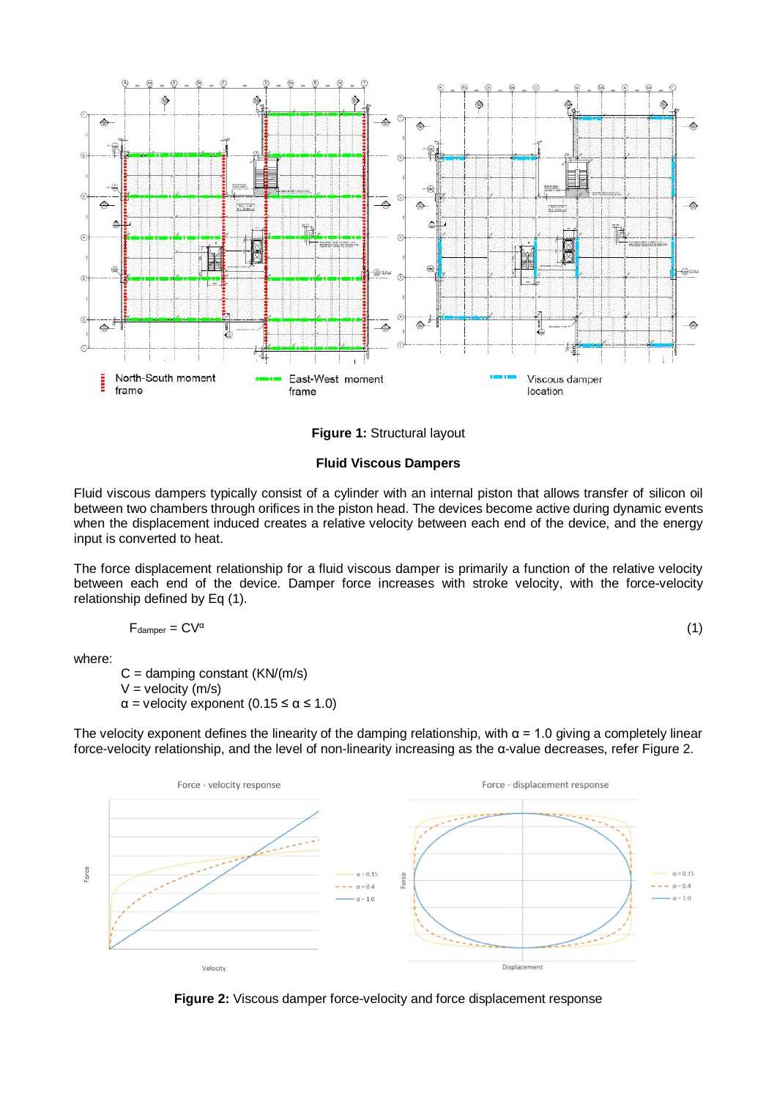

**Figure 1:** Structural layout

### **Fluid Viscous Dampers**

Fluid viscous dampers typically consist of a cylinder with an internal piston that allows transfer of silicon oil between two chambers through orifices in the piston head. The devices become active during dynamic events when the displacement induced creates a relative velocity between each end of the device, and the energy input is converted to heat.

The force displacement relationship for a fluid viscous damper is primarily a function of the relative velocity between each end of the device. Damper force increases with stroke velocity, with the force-velocity relationship defined by Eq (1).

$$
F_{\text{damper}} = CV^{\alpha}
$$

(1)

where:

 $C =$  damping constant (KN/(m/s)  $V =$  velocity (m/s)  $\alpha$  = velocity exponent (0.15  $\leq \alpha \leq 1.0$ )

The velocity exponent defines the linearity of the damping relationship, with  $\alpha$  = 1.0 giving a completely linear force-velocity relationship, and the level of non-linearity increasing as the α-value decreases, refer Figure 2.



**Figure 2:** Viscous damper force-velocity and force displacement response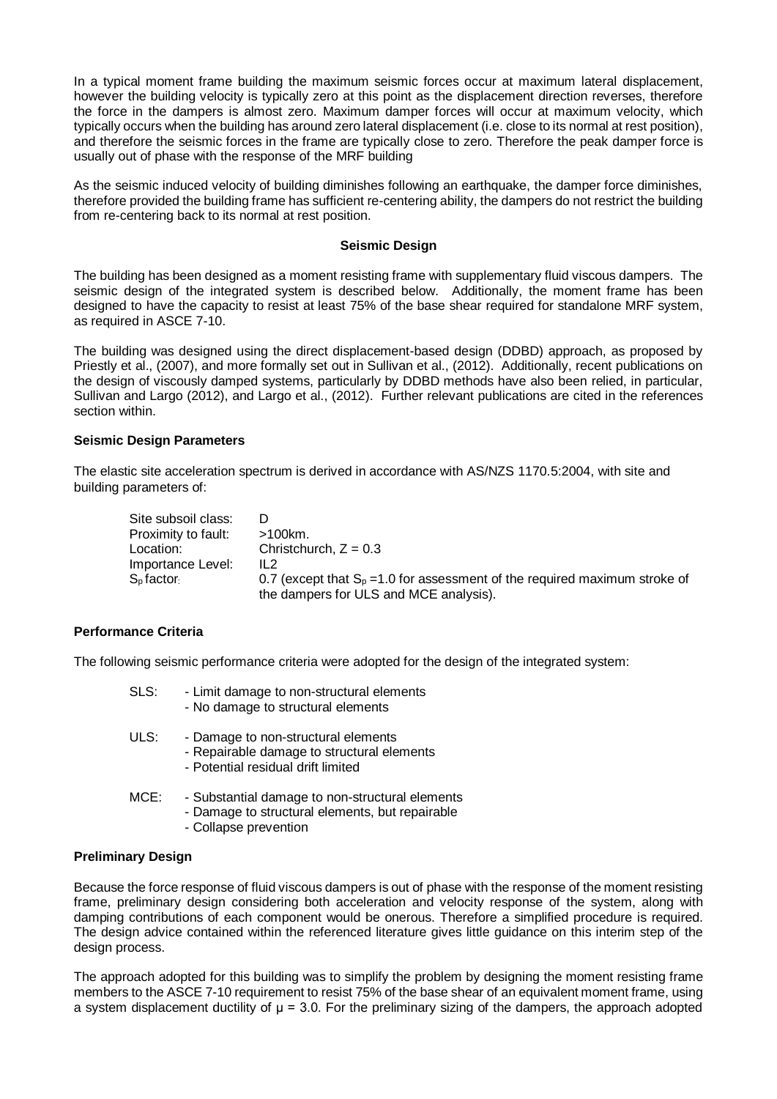In a typical moment frame building the maximum seismic forces occur at maximum lateral displacement, however the building velocity is typically zero at this point as the displacement direction reverses, therefore the force in the dampers is almost zero. Maximum damper forces will occur at maximum velocity, which typically occurs when the building has around zero lateral displacement (i.e. close to its normal at rest position), and therefore the seismic forces in the frame are typically close to zero. Therefore the peak damper force is usually out of phase with the response of the MRF building

As the seismic induced velocity of building diminishes following an earthquake, the damper force diminishes, therefore provided the building frame has sufficient re-centering ability, the dampers do not restrict the building from re-centering back to its normal at rest position.

### **Seismic Design**

The building has been designed as a moment resisting frame with supplementary fluid viscous dampers. The seismic design of the integrated system is described below. Additionally, the moment frame has been designed to have the capacity to resist at least 75% of the base shear required for standalone MRF system, as required in ASCE 7-10.

The building was designed using the direct displacement-based design (DDBD) approach, as proposed by Priestly et al., (2007), and more formally set out in Sullivan et al., (2012). Additionally, recent publications on the design of viscously damped systems, particularly by DDBD methods have also been relied, in particular, Sullivan and Largo (2012), and Largo et al., (2012). Further relevant publications are cited in the references section within.

### **Seismic Design Parameters**

The elastic site acceleration spectrum is derived in accordance with AS/NZS 1170.5:2004, with site and building parameters of:

| Site subsoil class: |                                                                               |
|---------------------|-------------------------------------------------------------------------------|
| Proximity to fault: | >100km.                                                                       |
| Location:           | Christchurch, $Z = 0.3$                                                       |
| Importance Level:   | IL2                                                                           |
| $S0$ factor         | 0.7 (except that $S_p = 1.0$ for assessment of the required maximum stroke of |
|                     | the dampers for ULS and MCE analysis).                                        |

## **Performance Criteria**

The following seismic performance criteria were adopted for the design of the integrated system:

| SLS: | - Limit damage to non-structural elements<br>- No damage to structural elements                                            |
|------|----------------------------------------------------------------------------------------------------------------------------|
| ULS: | - Damage to non-structural elements<br>- Repairable damage to structural elements<br>- Potential residual drift limited    |
| MCE: | - Substantial damage to non-structural elements<br>- Damage to structural elements, but repairable<br>Callange nuaireathan |

- Collapse prevention

## **Preliminary Design**

Because the force response of fluid viscous dampers is out of phase with the response of the moment resisting frame, preliminary design considering both acceleration and velocity response of the system, along with damping contributions of each component would be onerous. Therefore a simplified procedure is required. The design advice contained within the referenced literature gives little guidance on this interim step of the design process.

The approach adopted for this building was to simplify the problem by designing the moment resisting frame members to the ASCE 7-10 requirement to resist 75% of the base shear of an equivalent moment frame, using a system displacement ductility of  $\mu$  = 3.0. For the preliminary sizing of the dampers, the approach adopted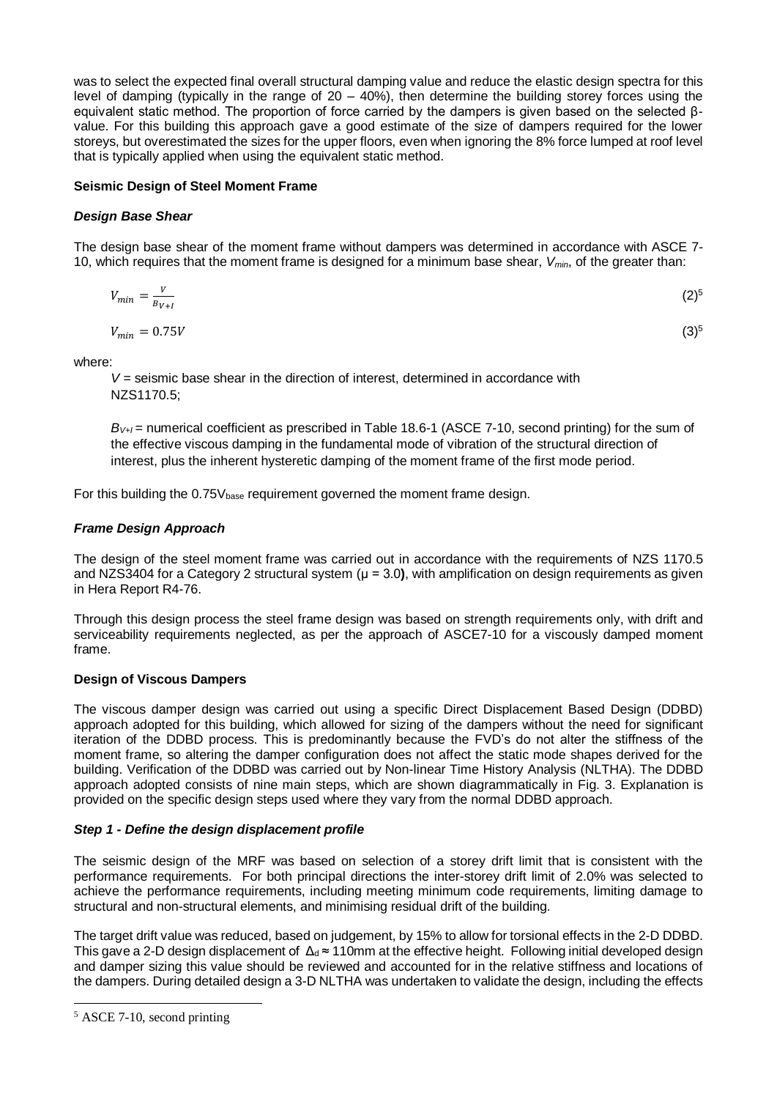was to select the expected final overall structural damping value and reduce the elastic design spectra for this level of damping (typically in the range of  $20 - 40\%$ ), then determine the building storey forces using the equivalent static method. The proportion of force carried by the dampers is given based on the selected βvalue. For this building this approach gave a good estimate of the size of dampers required for the lower storeys, but overestimated the sizes for the upper floors, even when ignoring the 8% force lumped at roof level that is typically applied when using the equivalent static method.

## **Seismic Design of Steel Moment Frame**

## *Design Base Shear*

The design base shear of the moment frame without dampers was determined in accordance with ASCE 7- 10, which requires that the moment frame is designed for a minimum base shear, *Vmin*, of the greater than:

$$
V_{min} = \frac{V}{B_{V+I}} \tag{2}^{5}
$$

$$
V_{min} = 0.75V \tag{3}^{5}
$$

where:

*V* = seismic base shear in the direction of interest, determined in accordance with NZS1170.5;

*BV+I =* numerical coefficient as prescribed in Table 18.6-1 (ASCE 7-10, second printing) for the sum of the effective viscous damping in the fundamental mode of vibration of the structural direction of interest, plus the inherent hysteretic damping of the moment frame of the first mode period.

For this building the  $0.75V_{base}$  requirement governed the moment frame design.

## *Frame Design Approach*

The design of the steel moment frame was carried out in accordance with the requirements of NZS 1170.5 and NZS3404 for a Category 2 structural system (μ = 3.0**)**, with amplification on design requirements as given in Hera Report R4-76.

Through this design process the steel frame design was based on strength requirements only, with drift and serviceability requirements neglected, as per the approach of ASCE7-10 for a viscously damped moment frame.

## **Design of Viscous Dampers**

The viscous damper design was carried out using a specific Direct Displacement Based Design (DDBD) approach adopted for this building, which allowed for sizing of the dampers without the need for significant iteration of the DDBD process. This is predominantly because the FVD's do not alter the stiffness of the moment frame, so altering the damper configuration does not affect the static mode shapes derived for the building. Verification of the DDBD was carried out by Non-linear Time History Analysis (NLTHA). The DDBD approach adopted consists of nine main steps, which are shown diagrammatically in Fig. 3. Explanation is provided on the specific design steps used where they vary from the normal DDBD approach.

## *Step 1 - Define the design displacement profile*

The seismic design of the MRF was based on selection of a storey drift limit that is consistent with the performance requirements. For both principal directions the inter-storey drift limit of 2.0% was selected to achieve the performance requirements, including meeting minimum code requirements, limiting damage to structural and non-structural elements, and minimising residual drift of the building.

The target drift value was reduced, based on judgement, by 15% to allow for torsional effects in the 2-D DDBD. This gave a 2-D design displacement of  $\Delta_d \approx 110$ mm at the effective height. Following initial developed design and damper sizing this value should be reviewed and accounted for in the relative stiffness and locations of the dampers. During detailed design a 3-D NLTHA was undertaken to validate the design, including the effects

<sup>5</sup> ASCE 7-10, second printing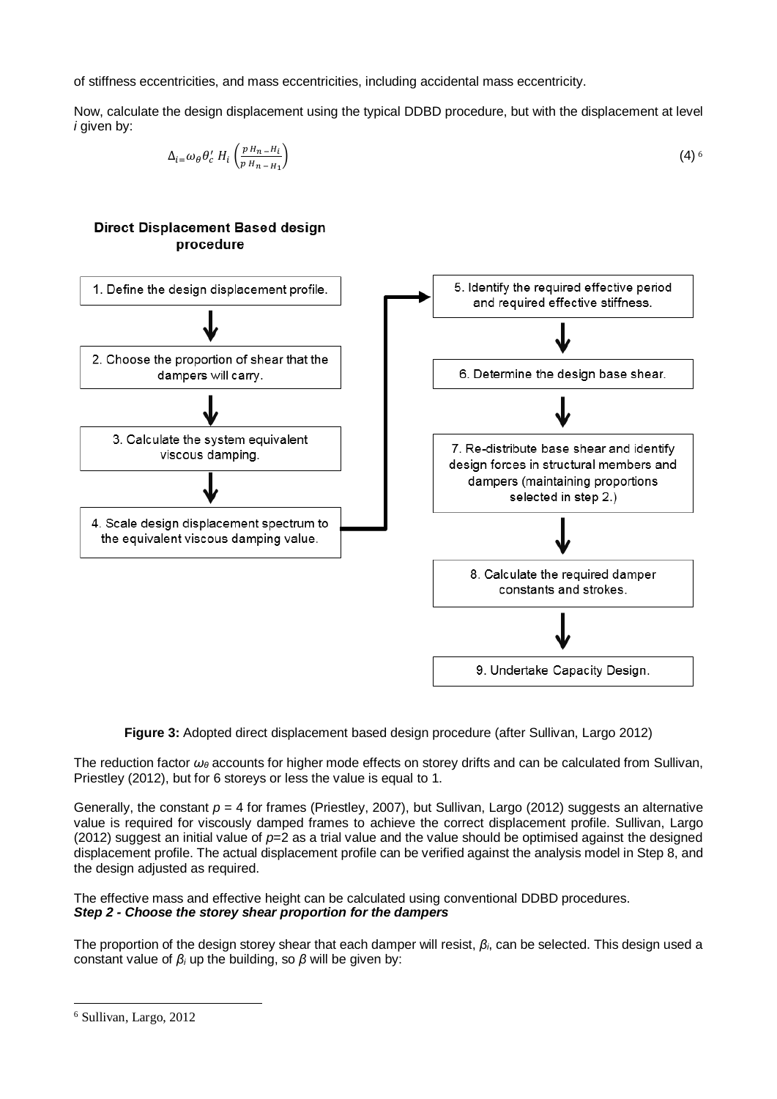of stiffness eccentricities, and mass eccentricities, including accidental mass eccentricity.

Now, calculate the design displacement using the typical DDBD procedure, but with the displacement at level *i* given by:

$$
\Delta_{i} = \omega_{\theta} \theta'_{c} H_{i} \left( \frac{p H_{n} - H_{i}}{p H_{n} - H_{1}} \right) \tag{4}
$$



**Figure 3:** Adopted direct displacement based design procedure (after Sullivan, Largo 2012)

The reduction factor *ω<sup>θ</sup>* accounts for higher mode effects on storey drifts and can be calculated from Sullivan, Priestley (2012), but for 6 storeys or less the value is equal to 1.

Generally, the constant  $p = 4$  for frames (Priestley, 2007), but Sullivan, Largo (2012) suggests an alternative value is required for viscously damped frames to achieve the correct displacement profile. Sullivan, Largo (2012) suggest an initial value of *p*=2 as a trial value and the value should be optimised against the designed displacement profile. The actual displacement profile can be verified against the analysis model in Step 8, and the design adjusted as required.

The effective mass and effective height can be calculated using conventional DDBD procedures. *Step 2 - Choose the storey shear proportion for the dampers*

The proportion of the design storey shear that each damper will resist, *βi*, can be selected. This design used a constant value of *β<sup>i</sup>* up the building, so *β* will be given by:

<sup>6</sup> Sullivan, Largo, 2012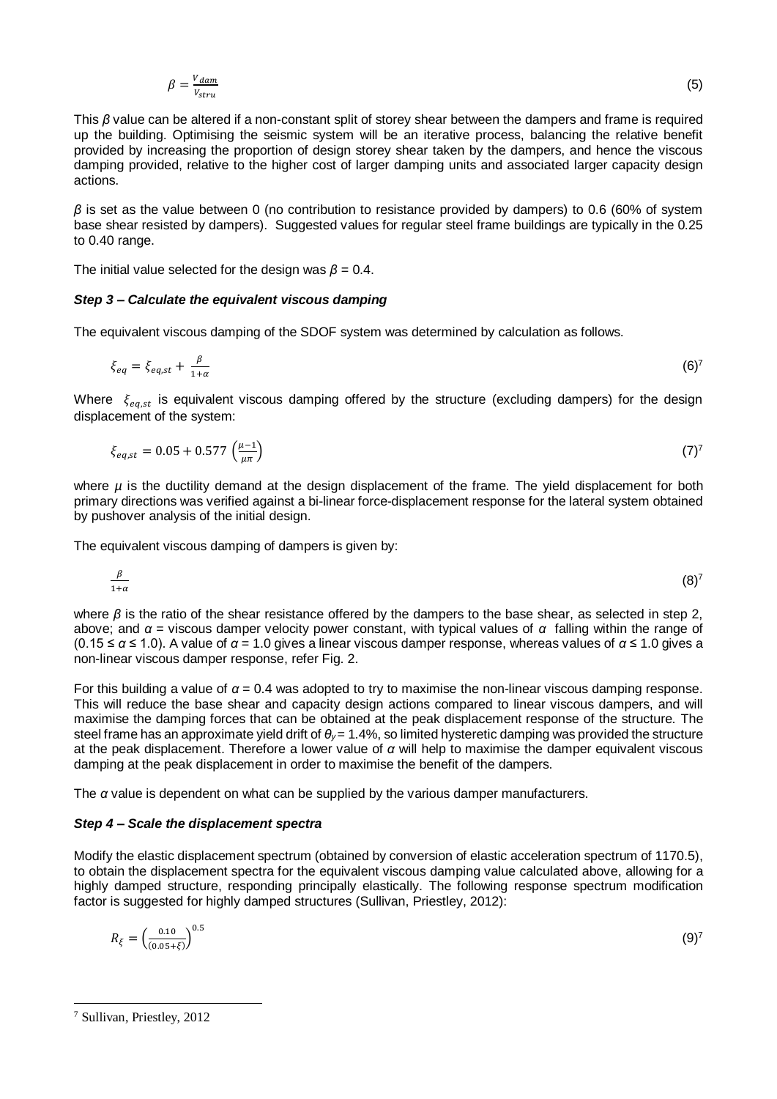$$
\beta = \frac{V_{dam}}{V_{stru}}\tag{5}
$$

This *β* value can be altered if a non-constant split of storey shear between the dampers and frame is required up the building. Optimising the seismic system will be an iterative process, balancing the relative benefit provided by increasing the proportion of design storey shear taken by the dampers, and hence the viscous damping provided, relative to the higher cost of larger damping units and associated larger capacity design actions.

*β* is set as the value between 0 (no contribution to resistance provided by dampers) to 0.6 (60% of system base shear resisted by dampers). Suggested values for regular steel frame buildings are typically in the 0.25 to 0.40 range.

The initial value selected for the design was  $\beta = 0.4$ .

### *Step 3 – Calculate the equivalent viscous damping*

The equivalent viscous damping of the SDOF system was determined by calculation as follows.

$$
\xi_{eq} = \xi_{eq,st} + \frac{\beta}{1+\alpha} \tag{6}
$$

Where  $\xi_{eq,st}$  is equivalent viscous damping offered by the structure (excluding dampers) for the design displacement of the system:

$$
\xi_{eq,st} = 0.05 + 0.577 \left(\frac{\mu - 1}{\mu \pi}\right) \tag{7}
$$

where *µ* is the ductility demand at the design displacement of the frame. The yield displacement for both primary directions was verified against a bi-linear force-displacement response for the lateral system obtained by pushover analysis of the initial design.

The equivalent viscous damping of dampers is given by:

$$
\frac{\beta}{1+\alpha} \tag{8}^7
$$

where *β* is the ratio of the shear resistance offered by the dampers to the base shear, as selected in step 2, above; and *α* = viscous damper velocity power constant, with typical values of *α* falling within the range of (0.15 ≤ *α* ≤ 1.0). A value of *α* = 1.0 gives a linear viscous damper response, whereas values of *α* ≤ 1.0 gives a non-linear viscous damper response, refer Fig. 2.

For this building a value of *α* = 0.4 was adopted to try to maximise the non-linear viscous damping response. This will reduce the base shear and capacity design actions compared to linear viscous dampers, and will maximise the damping forces that can be obtained at the peak displacement response of the structure. The steel frame has an approximate yield drift of *θy* = 1.4%, so limited hysteretic damping was provided the structure at the peak displacement. Therefore a lower value of *α* will help to maximise the damper equivalent viscous damping at the peak displacement in order to maximise the benefit of the dampers.

The *α* value is dependent on what can be supplied by the various damper manufacturers.

#### *Step 4 – Scale the displacement spectra*

Modify the elastic displacement spectrum (obtained by conversion of elastic acceleration spectrum of 1170.5), to obtain the displacement spectra for the equivalent viscous damping value calculated above, allowing for a highly damped structure, responding principally elastically. The following response spectrum modification factor is suggested for highly damped structures (Sullivan, Priestley, 2012):

$$
R_{\xi} = \left(\frac{0.10}{(0.05 + \xi)}\right)^{0.5} \tag{9}
$$

<sup>7</sup> Sullivan, Priestley, 2012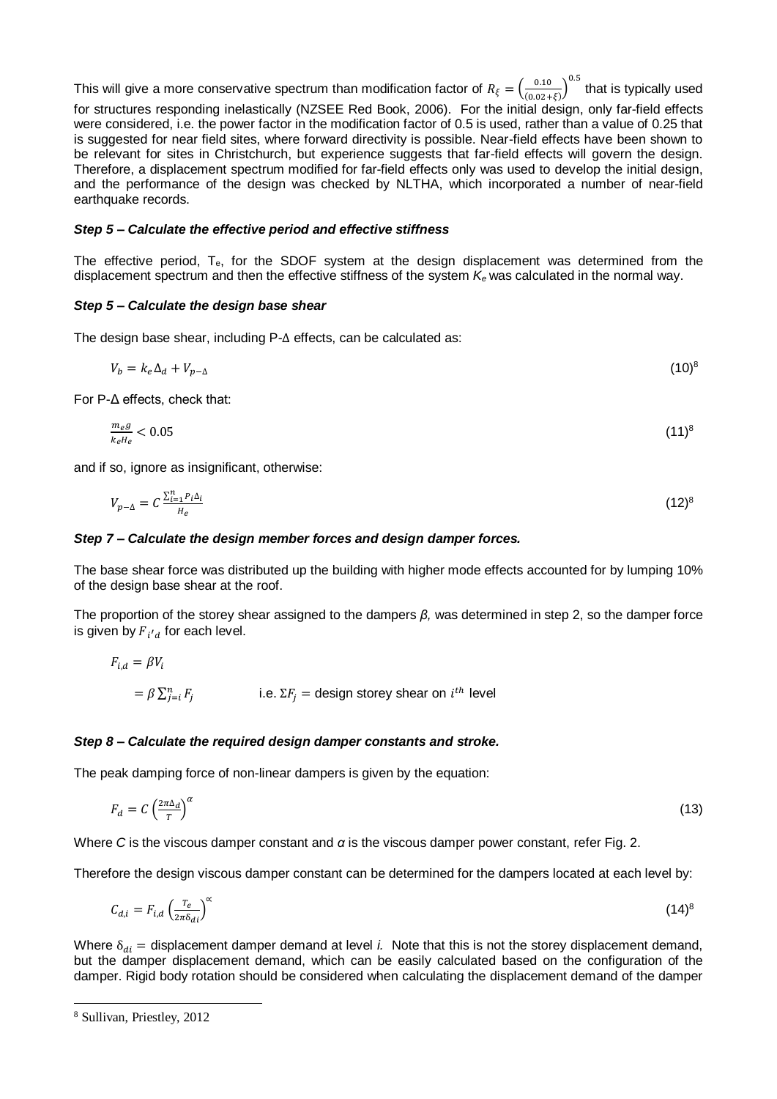This will give a more conservative spectrum than modification factor of  $R_{\xi} = \left(\frac{0.10}{(0.024)}\right)$  $\left(\frac{0.10}{(0.02+\xi)}\right)^{0.5}$  that is typically used for structures responding inelastically (NZSEE Red Book, 2006). For the initial design, only far-field effects were considered, i.e. the power factor in the modification factor of 0.5 is used, rather than a value of 0.25 that is suggested for near field sites, where forward directivity is possible. Near-field effects have been shown to be relevant for sites in Christchurch, but experience suggests that far-field effects will govern the design. Therefore, a displacement spectrum modified for far-field effects only was used to develop the initial design, and the performance of the design was checked by NLTHA, which incorporated a number of near-field earthquake records.

### *Step 5 – Calculate the effective period and effective stiffness*

The effective period,  $T_{e}$ , for the SDOF system at the design displacement was determined from the displacement spectrum and then the effective stiffness of the system *K<sup>e</sup>* was calculated in the normal way.

### *Step 5 – Calculate the design base shear*

The design base shear, including P-∆ effects, can be calculated as:

$$
V_b = k_e \Delta_d + V_{p-\Delta} \tag{10}^8
$$

For P-Δ effects, check that:

$$
\frac{m_e g}{k_e l_e} < 0.05\tag{11}^8
$$

and if so, ignore as insignificant, otherwise:

$$
V_{p-\Delta} = C \frac{\sum_{i=1}^{n} P_i \Delta_i}{H_e} \tag{12}
$$

### *Step 7 – Calculate the design member forces and design damper forces.*

The base shear force was distributed up the building with higher mode effects accounted for by lumping 10% of the design base shear at the roof.

The proportion of the storey shear assigned to the dampers *β,* was determined in step 2, so the damper force is given by  $F_{i'd}$  for each level.

$$
F_{i,d} = \beta V_i
$$
  
=  $\beta \sum_{j=i}^{n} F_j$  i.e.  $\Sigma F_j$  = design storey shear on  $i^{th}$  level

### *Step 8 – Calculate the required design damper constants and stroke.*

The peak damping force of non-linear dampers is given by the equation:

$$
F_d = C \left(\frac{2\pi\Delta_d}{T}\right)^{\alpha} \tag{13}
$$

Where *C* is the viscous damper constant and *α* is the viscous damper power constant, refer Fig. 2.

Therefore the design viscous damper constant can be determined for the dampers located at each level by:

$$
C_{d,i} = F_{i,d} \left(\frac{r_e}{2\pi \delta_{di}}\right)^{\alpha} \tag{14}
$$

Where  $\delta_{di}$  = displacement damper demand at level *i*. Note that this is not the storey displacement demand, but the damper displacement demand, which can be easily calculated based on the configuration of the damper. Rigid body rotation should be considered when calculating the displacement demand of the damper

<sup>8</sup> Sullivan, Priestley, 2012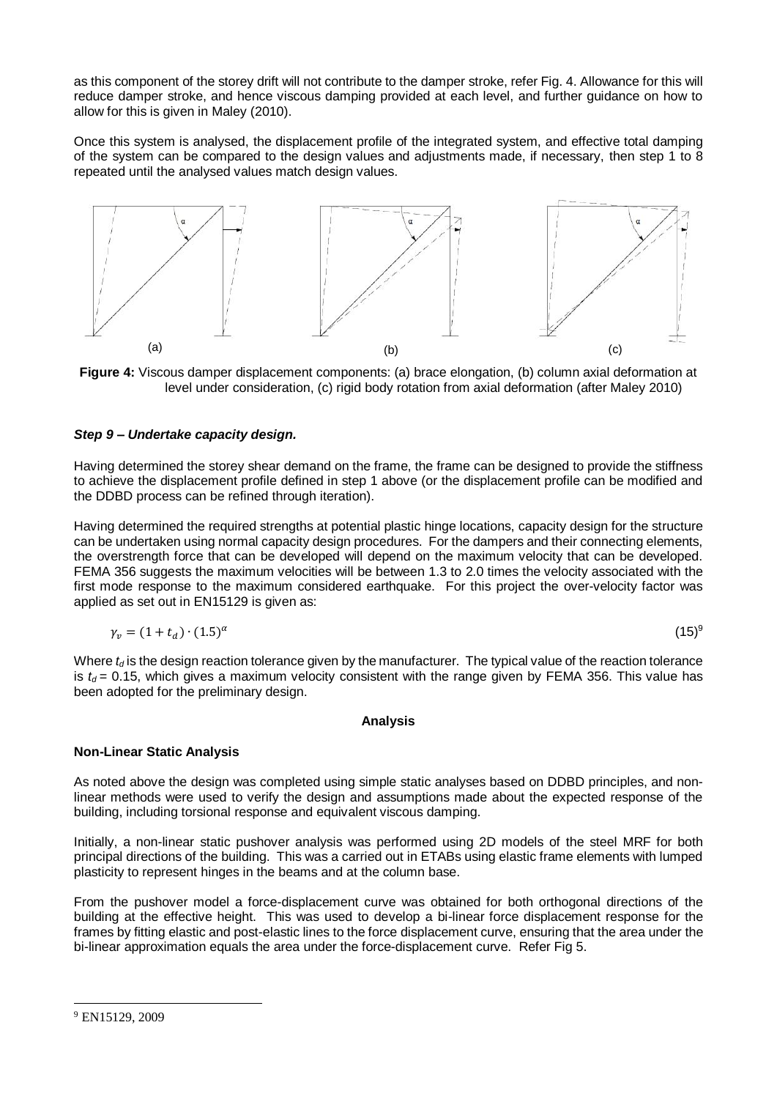as this component of the storey drift will not contribute to the damper stroke, refer Fig. 4. Allowance for this will reduce damper stroke, and hence viscous damping provided at each level, and further guidance on how to allow for this is given in Maley (2010).

Once this system is analysed, the displacement profile of the integrated system, and effective total damping of the system can be compared to the design values and adjustments made, if necessary, then step 1 to 8 repeated until the analysed values match design values.



**Figure 4:** Viscous damper displacement components: (a) brace elongation, (b) column axial deformation at level under consideration, (c) rigid body rotation from axial deformation (after Maley 2010)

## *Step 9 – Undertake capacity design.*

Having determined the storey shear demand on the frame, the frame can be designed to provide the stiffness to achieve the displacement profile defined in step 1 above (or the displacement profile can be modified and the DDBD process can be refined through iteration).

Having determined the required strengths at potential plastic hinge locations, capacity design for the structure can be undertaken using normal capacity design procedures. For the dampers and their connecting elements, the overstrength force that can be developed will depend on the maximum velocity that can be developed. FEMA 356 suggests the maximum velocities will be between 1.3 to 2.0 times the velocity associated with the first mode response to the maximum considered earthquake. For this project the over-velocity factor was applied as set out in EN15129 is given as:

$$
\gamma_v = (1 + t_d) \cdot (1.5)^\alpha \tag{15}^\circ
$$

Where  $t_d$  is the design reaction tolerance given by the manufacturer. The typical value of the reaction tolerance is  $t_d$  = 0.15, which gives a maximum velocity consistent with the range given by FEMA 356. This value has been adopted for the preliminary design.

### **Analysis**

## **Non-Linear Static Analysis**

As noted above the design was completed using simple static analyses based on DDBD principles, and nonlinear methods were used to verify the design and assumptions made about the expected response of the building, including torsional response and equivalent viscous damping.

Initially, a non-linear static pushover analysis was performed using 2D models of the steel MRF for both principal directions of the building. This was a carried out in ETABs using elastic frame elements with lumped plasticity to represent hinges in the beams and at the column base.

From the pushover model a force-displacement curve was obtained for both orthogonal directions of the building at the effective height. This was used to develop a bi-linear force displacement response for the frames by fitting elastic and post-elastic lines to the force displacement curve, ensuring that the area under the bi-linear approximation equals the area under the force-displacement curve. Refer Fig 5.

<sup>9</sup> EN15129, 2009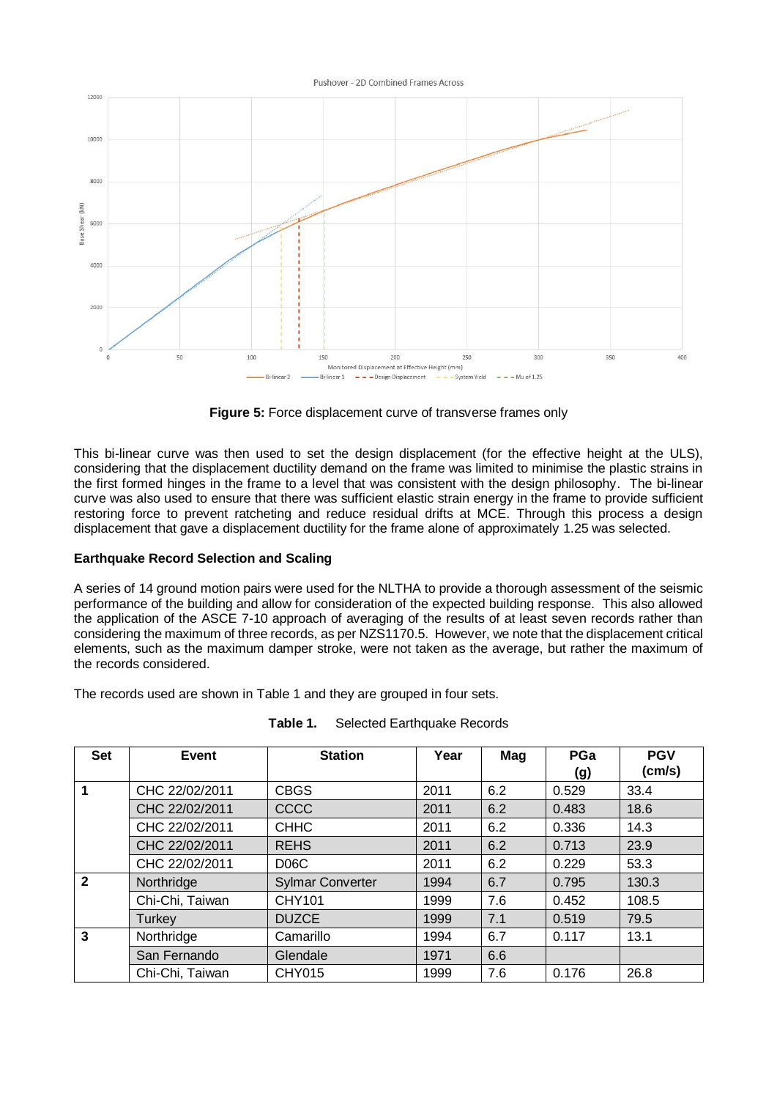#### Pushover - 2D Combined Frames Across



**Figure 5:** Force displacement curve of transverse frames only

This bi-linear curve was then used to set the design displacement (for the effective height at the ULS), considering that the displacement ductility demand on the frame was limited to minimise the plastic strains in the first formed hinges in the frame to a level that was consistent with the design philosophy. The bi-linear curve was also used to ensure that there was sufficient elastic strain energy in the frame to provide sufficient restoring force to prevent ratcheting and reduce residual drifts at MCE. Through this process a design displacement that gave a displacement ductility for the frame alone of approximately 1.25 was selected.

## **Earthquake Record Selection and Scaling**

A series of 14 ground motion pairs were used for the NLTHA to provide a thorough assessment of the seismic performance of the building and allow for consideration of the expected building response. This also allowed the application of the ASCE 7-10 approach of averaging of the results of at least seven records rather than considering the maximum of three records, as per NZS1170.5. However, we note that the displacement critical elements, such as the maximum damper stroke, were not taken as the average, but rather the maximum of the records considered.

The records used are shown in Table 1 and they are grouped in four sets.

| <b>Set</b>   | Event           | <b>Station</b>          | Year | Mag | PGa<br>(g) | <b>PGV</b><br>(cm/s) |
|--------------|-----------------|-------------------------|------|-----|------------|----------------------|
| 1            | CHC 22/02/2011  | <b>CBGS</b>             | 2011 | 6.2 | 0.529      | 33.4                 |
|              | CHC 22/02/2011  | CCCC                    | 2011 | 6.2 | 0.483      | 18.6                 |
|              | CHC 22/02/2011  | <b>CHHC</b>             | 2011 | 6.2 | 0.336      | 14.3                 |
|              | CHC 22/02/2011  | <b>REHS</b>             | 2011 | 6.2 | 0.713      | 23.9                 |
|              | CHC 22/02/2011  | D <sub>06</sub> C       | 2011 | 6.2 | 0.229      | 53.3                 |
| $\mathbf{2}$ | Northridge      | <b>Sylmar Converter</b> | 1994 | 6.7 | 0.795      | 130.3                |
|              | Chi-Chi, Taiwan | CHY101                  | 1999 | 7.6 | 0.452      | 108.5                |
|              | Turkey          | <b>DUZCE</b>            | 1999 | 7.1 | 0.519      | 79.5                 |
| 3            | Northridge      | Camarillo               | 1994 | 6.7 | 0.117      | 13.1                 |
|              | San Fernando    | Glendale                | 1971 | 6.6 |            |                      |
|              | Chi-Chi, Taiwan | CHY015                  | 1999 | 7.6 | 0.176      | 26.8                 |

| Table 1. | Selected Earthquake Records |
|----------|-----------------------------|
|----------|-----------------------------|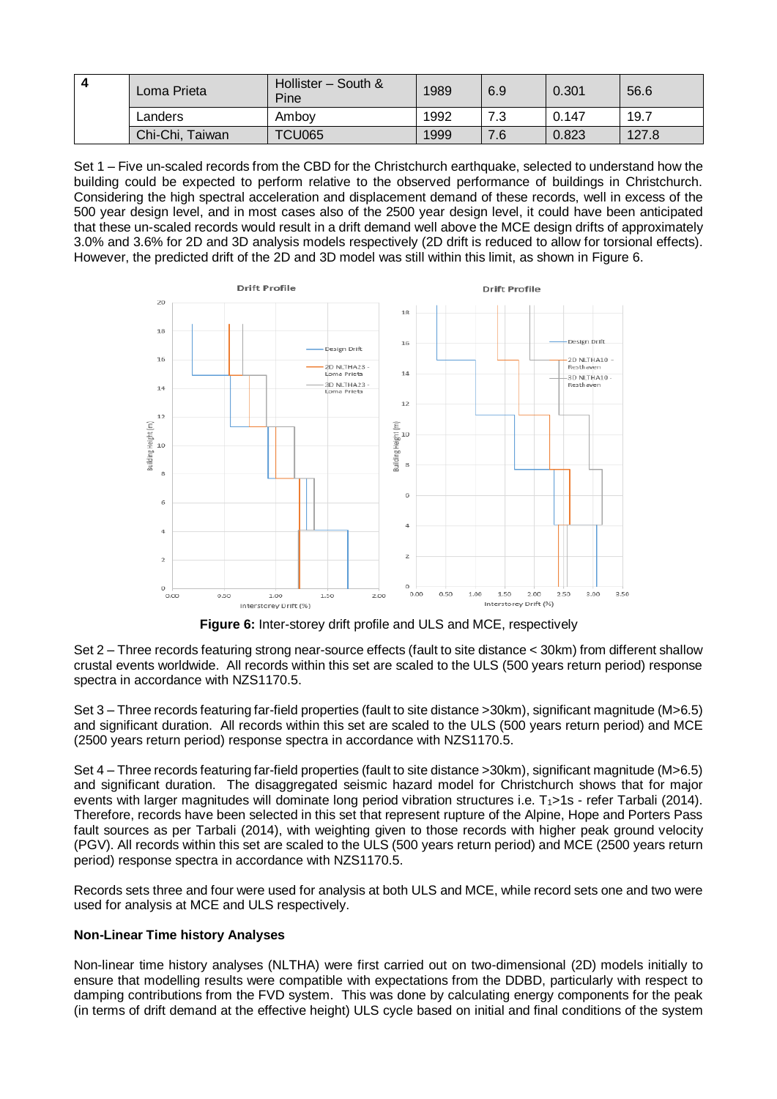| $\boldsymbol{A}$ | Loma Prieta     | Hollister - South &<br>Pine | 1989 | 6.9 | 0.301 | 56.6  |
|------------------|-----------------|-----------------------------|------|-----|-------|-------|
|                  | Landers         | Amboy                       | 1992 | 7.3 | 0.147 | 19.7  |
|                  | Chi-Chi, Taiwan | <b>TCU065</b>               | 1999 | 7.6 | 0.823 | 127.8 |

Set 1 – Five un-scaled records from the CBD for the Christchurch earthquake, selected to understand how the building could be expected to perform relative to the observed performance of buildings in Christchurch. Considering the high spectral acceleration and displacement demand of these records, well in excess of the 500 year design level, and in most cases also of the 2500 year design level, it could have been anticipated that these un-scaled records would result in a drift demand well above the MCE design drifts of approximately 3.0% and 3.6% for 2D and 3D analysis models respectively (2D drift is reduced to allow for torsional effects). However, the predicted drift of the 2D and 3D model was still within this limit, as shown in Figure 6.



**Figure 6:** Inter-storey drift profile and ULS and MCE, respectively

Set 2 – Three records featuring strong near-source effects (fault to site distance < 30km) from different shallow crustal events worldwide. All records within this set are scaled to the ULS (500 years return period) response spectra in accordance with NZS1170.5.

Set 3 – Three records featuring far-field properties (fault to site distance >30km), significant magnitude (M>6.5) and significant duration. All records within this set are scaled to the ULS (500 years return period) and MCE (2500 years return period) response spectra in accordance with NZS1170.5.

Set 4 – Three records featuring far-field properties (fault to site distance >30km), significant magnitude (M>6.5) and significant duration. The disaggregated seismic hazard model for Christchurch shows that for major events with larger magnitudes will dominate long period vibration structures i.e.  $T<sub>1</sub>$ >1s - refer Tarbali (2014). Therefore, records have been selected in this set that represent rupture of the Alpine, Hope and Porters Pass fault sources as per Tarbali (2014), with weighting given to those records with higher peak ground velocity (PGV). All records within this set are scaled to the ULS (500 years return period) and MCE (2500 years return period) response spectra in accordance with NZS1170.5.

Records sets three and four were used for analysis at both ULS and MCE, while record sets one and two were used for analysis at MCE and ULS respectively.

## **Non-Linear Time history Analyses**

Non-linear time history analyses (NLTHA) were first carried out on two-dimensional (2D) models initially to ensure that modelling results were compatible with expectations from the DDBD, particularly with respect to damping contributions from the FVD system. This was done by calculating energy components for the peak (in terms of drift demand at the effective height) ULS cycle based on initial and final conditions of the system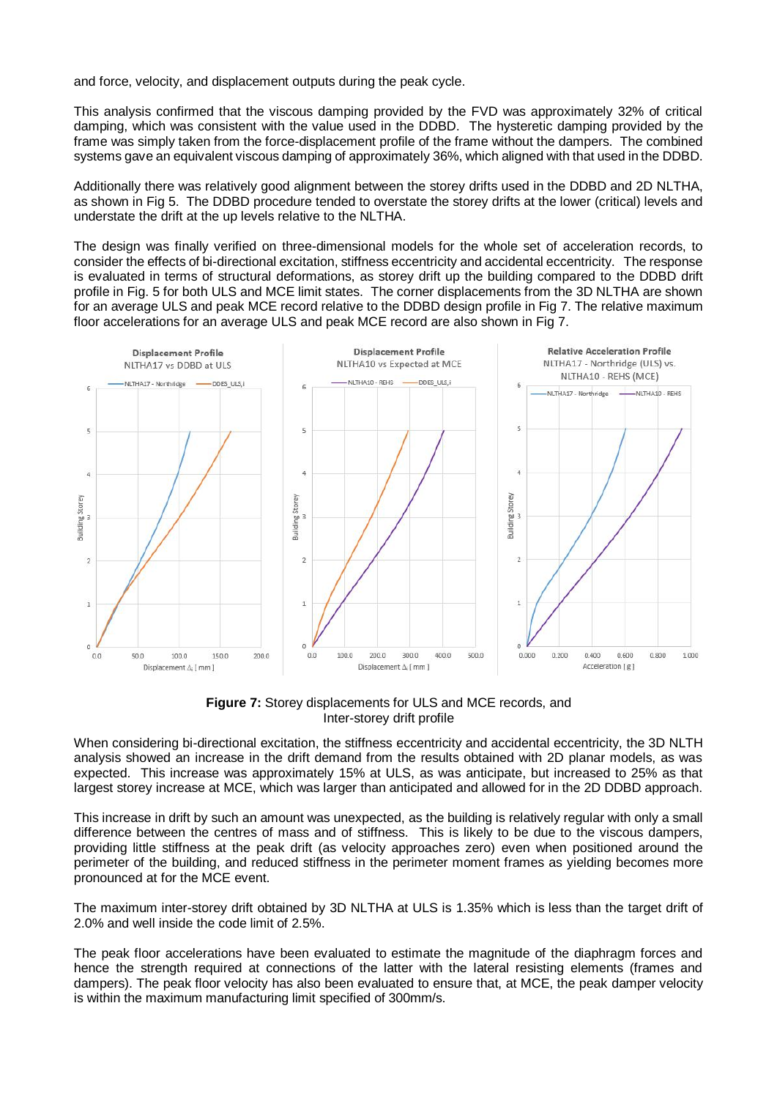and force, velocity, and displacement outputs during the peak cycle.

This analysis confirmed that the viscous damping provided by the FVD was approximately 32% of critical damping, which was consistent with the value used in the DDBD. The hysteretic damping provided by the frame was simply taken from the force-displacement profile of the frame without the dampers. The combined systems gave an equivalent viscous damping of approximately 36%, which aligned with that used in the DDBD.

Additionally there was relatively good alignment between the storey drifts used in the DDBD and 2D NLTHA, as shown in Fig 5. The DDBD procedure tended to overstate the storey drifts at the lower (critical) levels and understate the drift at the up levels relative to the NLTHA.

The design was finally verified on three-dimensional models for the whole set of acceleration records, to consider the effects of bi-directional excitation, stiffness eccentricity and accidental eccentricity. The response is evaluated in terms of structural deformations, as storey drift up the building compared to the DDBD drift profile in Fig. 5 for both ULS and MCE limit states. The corner displacements from the 3D NLTHA are shown for an average ULS and peak MCE record relative to the DDBD design profile in Fig 7. The relative maximum floor accelerations for an average ULS and peak MCE record are also shown in Fig 7.



**Figure 7:** Storey displacements for ULS and MCE records, and Inter-storey drift profile

When considering bi-directional excitation, the stiffness eccentricity and accidental eccentricity, the 3D NLTH analysis showed an increase in the drift demand from the results obtained with 2D planar models, as was expected. This increase was approximately 15% at ULS, as was anticipate, but increased to 25% as that largest storey increase at MCE, which was larger than anticipated and allowed for in the 2D DDBD approach.

This increase in drift by such an amount was unexpected, as the building is relatively regular with only a small difference between the centres of mass and of stiffness. This is likely to be due to the viscous dampers, providing little stiffness at the peak drift (as velocity approaches zero) even when positioned around the perimeter of the building, and reduced stiffness in the perimeter moment frames as yielding becomes more pronounced at for the MCE event.

The maximum inter-storey drift obtained by 3D NLTHA at ULS is 1.35% which is less than the target drift of 2.0% and well inside the code limit of 2.5%.

The peak floor accelerations have been evaluated to estimate the magnitude of the diaphragm forces and hence the strength required at connections of the latter with the lateral resisting elements (frames and dampers). The peak floor velocity has also been evaluated to ensure that, at MCE, the peak damper velocity is within the maximum manufacturing limit specified of 300mm/s.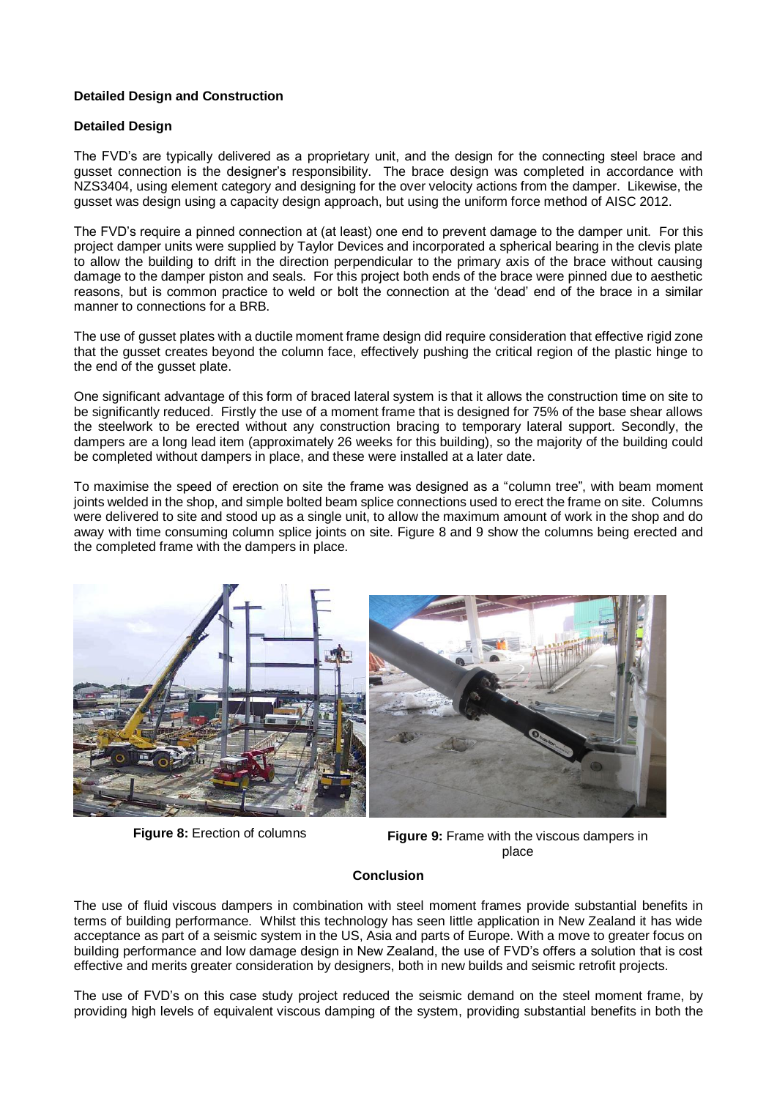## **Detailed Design and Construction**

## **Detailed Design**

The FVD's are typically delivered as a proprietary unit, and the design for the connecting steel brace and gusset connection is the designer's responsibility. The brace design was completed in accordance with NZS3404, using element category and designing for the over velocity actions from the damper. Likewise, the gusset was design using a capacity design approach, but using the uniform force method of AISC 2012.

The FVD's require a pinned connection at (at least) one end to prevent damage to the damper unit. For this project damper units were supplied by Taylor Devices and incorporated a spherical bearing in the clevis plate to allow the building to drift in the direction perpendicular to the primary axis of the brace without causing damage to the damper piston and seals. For this project both ends of the brace were pinned due to aesthetic reasons, but is common practice to weld or bolt the connection at the 'dead' end of the brace in a similar manner to connections for a BRB.

The use of gusset plates with a ductile moment frame design did require consideration that effective rigid zone that the gusset creates beyond the column face, effectively pushing the critical region of the plastic hinge to the end of the gusset plate.

One significant advantage of this form of braced lateral system is that it allows the construction time on site to be significantly reduced. Firstly the use of a moment frame that is designed for 75% of the base shear allows the steelwork to be erected without any construction bracing to temporary lateral support. Secondly, the dampers are a long lead item (approximately 26 weeks for this building), so the majority of the building could be completed without dampers in place, and these were installed at a later date.

To maximise the speed of erection on site the frame was designed as a "column tree", with beam moment joints welded in the shop, and simple bolted beam splice connections used to erect the frame on site. Columns were delivered to site and stood up as a single unit, to allow the maximum amount of work in the shop and do away with time consuming column splice joints on site. Figure 8 and 9 show the columns being erected and the completed frame with the dampers in place.



**Figure 8:** Erection of columns **Figure 9:** Frame with the viscous dampers in place

### **Conclusion**

The use of fluid viscous dampers in combination with steel moment frames provide substantial benefits in terms of building performance. Whilst this technology has seen little application in New Zealand it has wide acceptance as part of a seismic system in the US, Asia and parts of Europe. With a move to greater focus on building performance and low damage design in New Zealand, the use of FVD's offers a solution that is cost effective and merits greater consideration by designers, both in new builds and seismic retrofit projects.

The use of FVD's on this case study project reduced the seismic demand on the steel moment frame, by providing high levels of equivalent viscous damping of the system, providing substantial benefits in both the